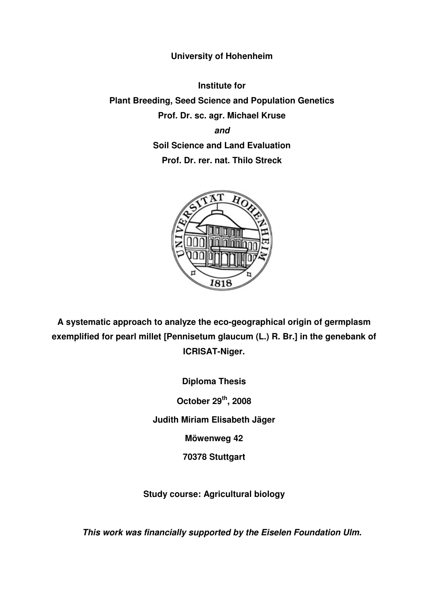## **University of Hohenheim**

**Institute for** 

**Plant Breeding, Seed Science and Population Genetics Prof. Dr. sc. agr. Michael Kruse and Soil Science and Land Evaluation** 

**Prof. Dr. rer. nat. Thilo Streck** 



**A systematic approach to analyze the eco-geographical origin of germplasm exemplified for pearl millet [Pennisetum glaucum (L.) R. Br.] in the genebank of ICRISAT-Niger.** 

> **Diploma Thesis October 29th, 2008 Judith Miriam Elisabeth Jäger Möwenweg 42 70378 Stuttgart**

**Study course: Agricultural biology** 

**This work was financially supported by the Eiselen Foundation Ulm.**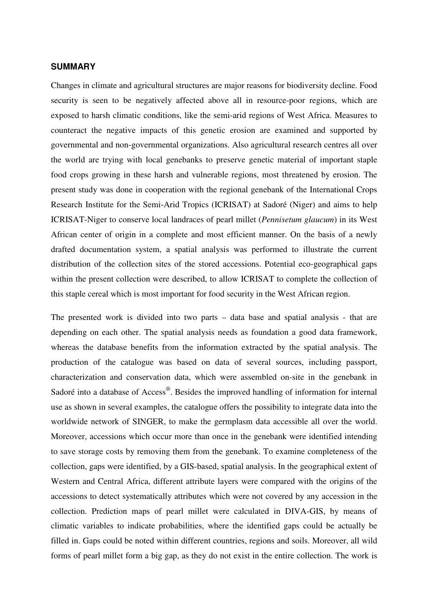## **SUMMARY**

Changes in climate and agricultural structures are major reasons for biodiversity decline. Food security is seen to be negatively affected above all in resource-poor regions, which are exposed to harsh climatic conditions, like the semi-arid regions of West Africa. Measures to counteract the negative impacts of this genetic erosion are examined and supported by governmental and non-governmental organizations. Also agricultural research centres all over the world are trying with local genebanks to preserve genetic material of important staple food crops growing in these harsh and vulnerable regions, most threatened by erosion. The present study was done in cooperation with the regional genebank of the International Crops Research Institute for the Semi-Arid Tropics (ICRISAT) at Sadoré (Niger) and aims to help ICRISAT-Niger to conserve local landraces of pearl millet (*Pennisetum glaucum*) in its West African center of origin in a complete and most efficient manner. On the basis of a newly drafted documentation system, a spatial analysis was performed to illustrate the current distribution of the collection sites of the stored accessions. Potential eco-geographical gaps within the present collection were described, to allow ICRISAT to complete the collection of this staple cereal which is most important for food security in the West African region.

The presented work is divided into two parts – data base and spatial analysis - that are depending on each other. The spatial analysis needs as foundation a good data framework, whereas the database benefits from the information extracted by the spatial analysis. The production of the catalogue was based on data of several sources, including passport, characterization and conservation data, which were assembled on-site in the genebank in Sadoré into a database of Access®. Besides the improved handling of information for internal use as shown in several examples, the catalogue offers the possibility to integrate data into the worldwide network of SINGER, to make the germplasm data accessible all over the world. Moreover, accessions which occur more than once in the genebank were identified intending to save storage costs by removing them from the genebank. To examine completeness of the collection, gaps were identified, by a GIS-based, spatial analysis. In the geographical extent of Western and Central Africa, different attribute layers were compared with the origins of the accessions to detect systematically attributes which were not covered by any accession in the collection. Prediction maps of pearl millet were calculated in DIVA-GIS, by means of climatic variables to indicate probabilities, where the identified gaps could be actually be filled in. Gaps could be noted within different countries, regions and soils. Moreover, all wild forms of pearl millet form a big gap, as they do not exist in the entire collection. The work is